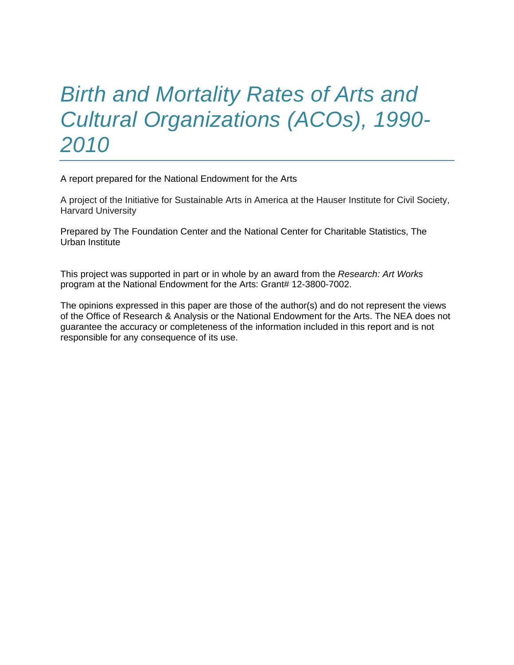# *Birth and Mortality Rates of Arts and Cultural Organizations (ACOs), 1990- 2010*

A report prepared for the National Endowment for the Arts

A project of the Initiative for Sustainable Arts in America at the Hauser Institute for Civil Society, Harvard University

Prepared by The Foundation Center and the National Center for Charitable Statistics, The Urban Institute

This project was supported in part or in whole by an award from the *Research: Art Works* program at the National Endowment for the Arts: Grant# 12-3800-7002.

The opinions expressed in this paper are those of the author(s) and do not represent the views of the Office of Research & Analysis or the National Endowment for the Arts. The NEA does not guarantee the accuracy or completeness of the information included in this report and is not responsible for any consequence of its use.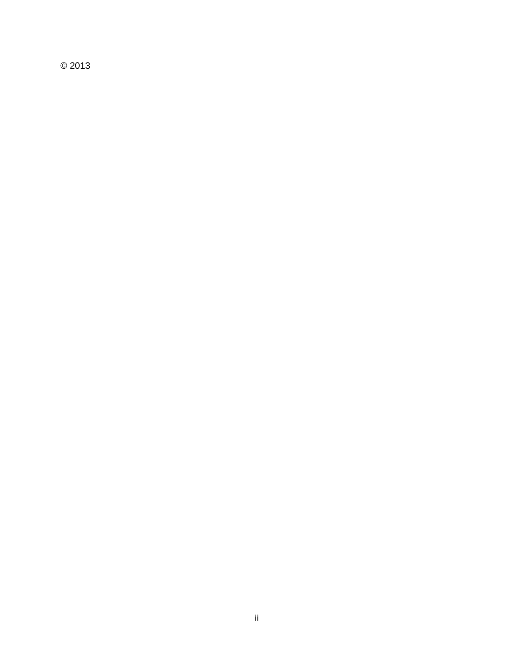© 2013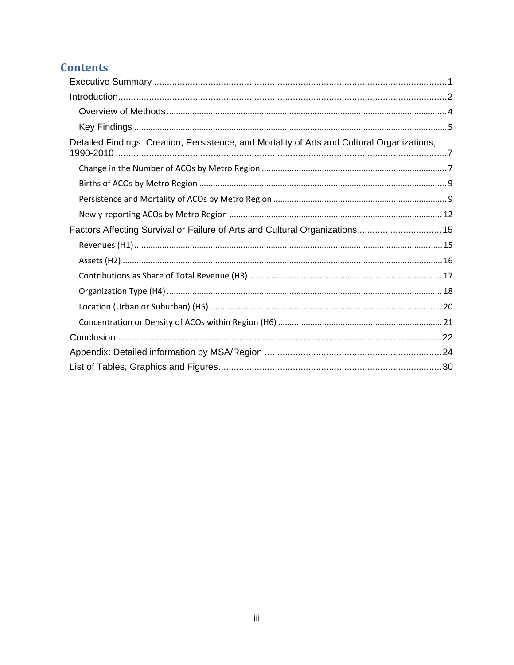# **Contents**

| Detailed Findings: Creation, Persistence, and Mortality of Arts and Cultural Organizations, |
|---------------------------------------------------------------------------------------------|
|                                                                                             |
|                                                                                             |
|                                                                                             |
|                                                                                             |
| Factors Affecting Survival or Failure of Arts and Cultural Organizations 15                 |
|                                                                                             |
|                                                                                             |
|                                                                                             |
|                                                                                             |
|                                                                                             |
|                                                                                             |
|                                                                                             |
|                                                                                             |
|                                                                                             |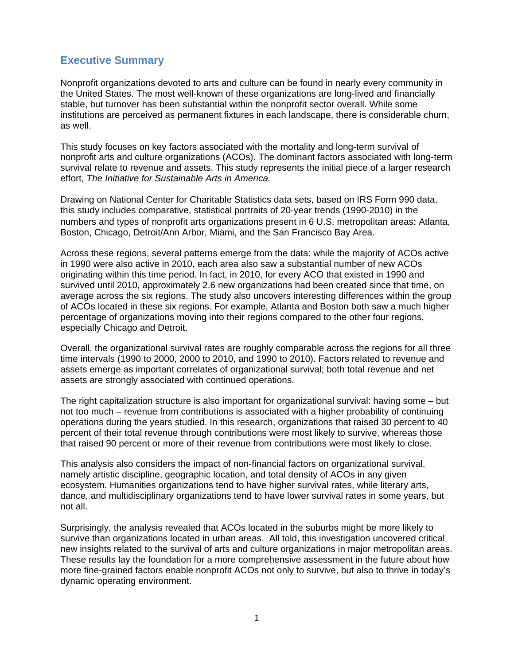## <span id="page-3-0"></span>**Executive Summary**

Nonprofit organizations devoted to arts and culture can be found in nearly every community in the United States. The most well-known of these organizations are long-lived and financially stable, but turnover has been substantial within the nonprofit sector overall. While some institutions are perceived as permanent fixtures in each landscape, there is considerable churn, as well.

This study focuses on key factors associated with the mortality and long-term survival of nonprofit arts and culture organizations (ACOs). The dominant factors associated with long-term survival relate to revenue and assets. This study represents the initial piece of a larger research effort, *The Initiative for Sustainable Arts in America.*

Drawing on National Center for Charitable Statistics data sets, based on IRS Form 990 data, this study includes comparative, statistical portraits of 20-year trends (1990-2010) in the numbers and types of nonprofit arts organizations present in 6 U.S. metropolitan areas: Atlanta, Boston, Chicago, Detroit/Ann Arbor, Miami, and the San Francisco Bay Area.

Across these regions, several patterns emerge from the data: while the majority of ACOs active in 1990 were also active in 2010, each area also saw a substantial number of new ACOs originating within this time period. In fact, in 2010, for every ACO that existed in 1990 and survived until 2010, approximately 2.6 new organizations had been created since that time, on average across the six regions. The study also uncovers interesting differences within the group of ACOs located in these six regions. For example, Atlanta and Boston both saw a much higher percentage of organizations moving into their regions compared to the other four regions, especially Chicago and Detroit.

Overall, the organizational survival rates are roughly comparable across the regions for all three time intervals (1990 to 2000, 2000 to 2010, and 1990 to 2010). Factors related to revenue and assets emerge as important correlates of organizational survival; both total revenue and net assets are strongly associated with continued operations.

The right capitalization structure is also important for organizational survival: having some – but not too much – revenue from contributions is associated with a higher probability of continuing operations during the years studied. In this research, organizations that raised 30 percent to 40 percent of their total revenue through contributions were most likely to survive, whereas those that raised 90 percent or more of their revenue from contributions were most likely to close.

This analysis also considers the impact of non-financial factors on organizational survival, namely artistic discipline, geographic location, and total density of ACOs in any given ecosystem. Humanities organizations tend to have higher survival rates, while literary arts, dance, and multidisciplinary organizations tend to have lower survival rates in some years, but not all.

Surprisingly, the analysis revealed that ACOs located in the suburbs might be more likely to survive than organizations located in urban areas. All told, this investigation uncovered critical new insights related to the survival of arts and culture organizations in major metropolitan areas. These results lay the foundation for a more comprehensive assessment in the future about how more fine-grained factors enable nonprofit ACOs not only to survive, but also to thrive in today's dynamic operating environment.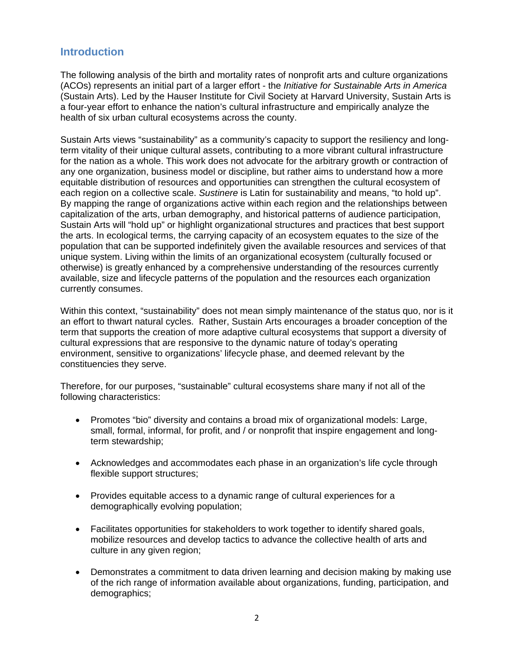## <span id="page-4-0"></span>**Introduction**

The following analysis of the birth and mortality rates of nonprofit arts and culture organizations (ACOs) represents an initial part of a larger effort - the *Initiative for Sustainable Arts in America*  (Sustain Arts). Led by the Hauser Institute for Civil Society at Harvard University, Sustain Arts is a four-year effort to enhance the nation's cultural infrastructure and empirically analyze the health of six urban cultural ecosystems across the county.

Sustain Arts views "sustainability" as a community's capacity to support the resiliency and longterm vitality of their unique cultural assets, contributing to a more vibrant cultural infrastructure for the nation as a whole. This work does not advocate for the arbitrary growth or contraction of any one organization, business model or discipline, but rather aims to understand how a more equitable distribution of resources and opportunities can strengthen the cultural ecosystem of each region on a collective scale. *Sustinere* is Latin for sustainability and means, "to hold up". By mapping the range of organizations active within each region and the relationships between capitalization of the arts, urban demography, and historical patterns of audience participation, Sustain Arts will "hold up" or highlight organizational structures and practices that best support the arts. In ecological terms, the carrying capacity of an ecosystem equates to the size of the population that can be supported indefinitely given the available resources and services of that unique system. Living within the limits of an organizational ecosystem (culturally focused or otherwise) is greatly enhanced by a comprehensive understanding of the resources currently available, size and lifecycle patterns of the population and the resources each organization currently consumes.

Within this context, "sustainability" does not mean simply maintenance of the status quo, nor is it an effort to thwart natural cycles. Rather, Sustain Arts encourages a broader conception of the term that supports the creation of more adaptive cultural ecosystems that support a diversity of cultural expressions that are responsive to the dynamic nature of today's operating environment, sensitive to organizations' lifecycle phase, and deemed relevant by the constituencies they serve.

Therefore, for our purposes, "sustainable" cultural ecosystems share many if not all of the following characteristics:

- Promotes "bio" diversity and contains a broad mix of organizational models: Large, small, formal, informal, for profit, and / or nonprofit that inspire engagement and longterm stewardship;
- Acknowledges and accommodates each phase in an organization's life cycle through flexible support structures;
- Provides equitable access to a dynamic range of cultural experiences for a demographically evolving population;
- Facilitates opportunities for stakeholders to work together to identify shared goals, mobilize resources and develop tactics to advance the collective health of arts and culture in any given region;
- Demonstrates a commitment to data driven learning and decision making by making use of the rich range of information available about organizations, funding, participation, and demographics;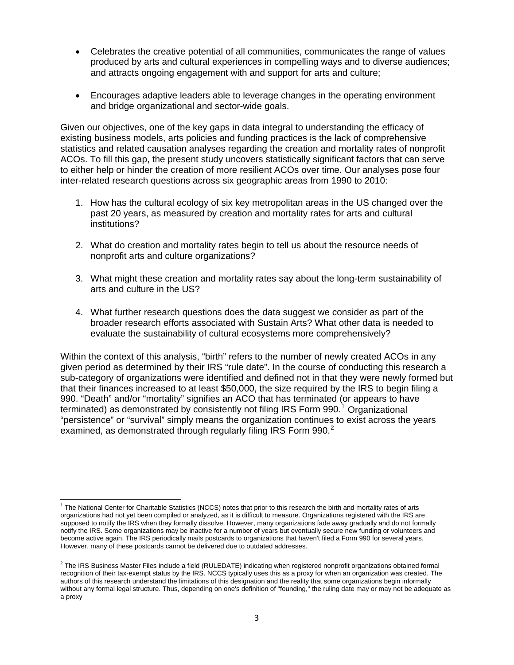- Celebrates the creative potential of all communities, communicates the range of values produced by arts and cultural experiences in compelling ways and to diverse audiences; and attracts ongoing engagement with and support for arts and culture;
- Encourages adaptive leaders able to leverage changes in the operating environment and bridge organizational and sector-wide goals.

Given our objectives, one of the key gaps in data integral to understanding the efficacy of existing business models, arts policies and funding practices is the lack of comprehensive statistics and related causation analyses regarding the creation and mortality rates of nonprofit ACOs. To fill this gap, the present study uncovers statistically significant factors that can serve to either help or hinder the creation of more resilient ACOs over time. Our analyses pose four inter-related research questions across six geographic areas from 1990 to 2010:

- 1. How has the cultural ecology of six key metropolitan areas in the US changed over the past 20 years, as measured by creation and mortality rates for arts and cultural institutions?
- 2. What do creation and mortality rates begin to tell us about the resource needs of nonprofit arts and culture organizations?
- 3. What might these creation and mortality rates say about the long-term sustainability of arts and culture in the US?
- 4. What further research questions does the data suggest we consider as part of the broader research efforts associated with Sustain Arts? What other data is needed to evaluate the sustainability of cultural ecosystems more comprehensively?

Within the context of this analysis, "birth" refers to the number of newly created ACOs in any given period as determined by their IRS "rule date". In the course of conducting this research a sub-category of organizations were identified and defined not in that they were newly formed but that their finances increased to at least \$50,000, the size required by the IRS to begin filing a 990. "Death" and/or "mortality" signifies an ACO that has terminated (or appears to have terminated) as demonstrated by consistently not filing IRS Form 990.<sup>[1](#page-5-0)</sup> Organizational "persistence" or "survival" simply means the organization continues to exist across the years examined, as demonstrated through regularly filing IRS Form 990.<sup>[2](#page-5-1)</sup>

<span id="page-5-0"></span> 1 The National Center for Charitable Statistics (NCCS) notes that prior to this research the birth and mortality rates of arts organizations had not yet been compiled or analyzed, as it is difficult to measure. Organizations registered with the IRS are supposed to notify the IRS when they formally dissolve. However, many organizations fade away gradually and do not formally notify the IRS. Some organizations may be inactive for a number of years but eventually secure new funding or volunteers and become active again. The IRS periodically mails postcards to organizations that haven't filed a Form 990 for several years. However, many of these postcards cannot be delivered due to outdated addresses.

<span id="page-5-1"></span> $^2$  The IRS Business Master Files include a field (RULEDATE) indicating when registered nonprofit organizations obtained formal recognition of their tax-exempt status by the IRS. NCCS typically uses this as a proxy for when an organization was created. The authors of this research understand the limitations of this designation and the reality that some organizations begin informally without any formal legal structure. Thus, depending on one's definition of "founding," the ruling date may or may not be adequate as a proxy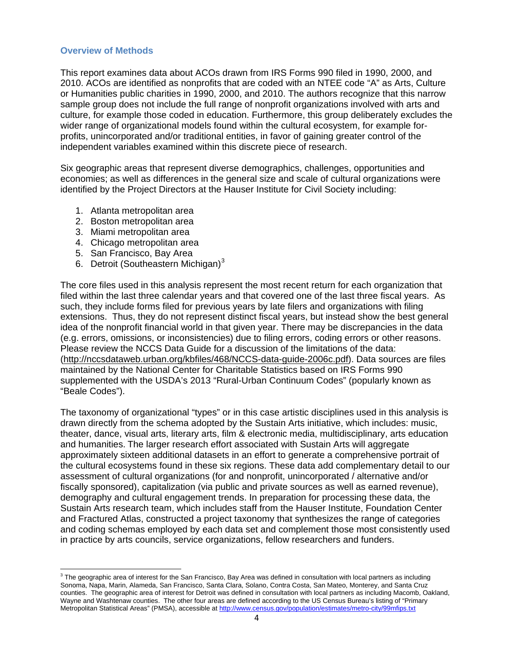## <span id="page-6-0"></span>**Overview of Methods**

This report examines data about ACOs drawn from IRS Forms 990 filed in 1990, 2000, and 2010. ACOs are identified as nonprofits that are coded with an NTEE code "A" as Arts, Culture or Humanities public charities in 1990, 2000, and 2010. The authors recognize that this narrow sample group does not include the full range of nonprofit organizations involved with arts and culture, for example those coded in education. Furthermore, this group deliberately excludes the wider range of organizational models found within the cultural ecosystem, for example forprofits, unincorporated and/or traditional entities, in favor of gaining greater control of the independent variables examined within this discrete piece of research.

Six geographic areas that represent diverse demographics, challenges, opportunities and economies; as well as differences in the general size and scale of cultural organizations were identified by the Project Directors at the Hauser Institute for Civil Society including:

- 1. Atlanta metropolitan area
- 2. Boston metropolitan area
- 3. Miami metropolitan area
- 4. Chicago metropolitan area
- 5. San Francisco, Bay Area
- 6. Detroit (Southeastern Michigan) $3$

The core files used in this analysis represent the most recent return for each organization that filed within the last three calendar years and that covered one of the last three fiscal years. As such, they include forms filed for previous years by late filers and organizations with filing extensions. Thus, they do not represent distinct fiscal years, but instead show the best general idea of the nonprofit financial world in that given year. There may be discrepancies in the data (e.g. errors, omissions, or inconsistencies) due to filing errors, coding errors or other reasons. Please review the NCCS Data Guide for a discussion of the limitations of the data: ([http://nccsdataweb.urban.org/kbfiles/468/NCCS-data-guide-2006c.pdf\)](http://nccsdataweb.urban.org/kbfiles/468/NCCS-data-guide-2006c.pdf). Data sources are files maintained by the National Center for Charitable Statistics based on IRS Forms 990 supplemented with the USDA's 2013 "Rural-Urban Continuum Codes" (popularly known as "Beale Codes").

The taxonomy of organizational "types" or in this case artistic disciplines used in this analysis is drawn directly from the schema adopted by the Sustain Arts initiative, which includes: music, theater, dance, visual arts, literary arts, film & electronic media, multidisciplinary, arts education and humanities. The larger research effort associated with Sustain Arts will aggregate approximately sixteen additional datasets in an effort to generate a comprehensive portrait of the cultural ecosystems found in these six regions. These data add complementary detail to our assessment of cultural organizations (for and nonprofit, unincorporated / alternative and/or fiscally sponsored), capitalization (via public and private sources as well as earned revenue), demography and cultural engagement trends. In preparation for processing these data, the Sustain Arts research team, which includes staff from the Hauser Institute, Foundation Center and Fractured Atlas, constructed a project taxonomy that synthesizes the range of categories and coding schemas employed by each data set and complement those most consistently used in practice by arts councils, service organizations, fellow researchers and funders.

<span id="page-6-1"></span> 3 The geographic area of interest for the San Francisco, Bay Area was defined in consultation with local partners as including Sonoma, Napa, Marin, Alameda, San Francisco, Santa Clara, Solano, Contra Costa, San Mateo, Monterey, and Santa Cruz counties. The geographic area of interest for Detroit was defined in consultation with local partners as including Macomb, Oakland, Wayne and Washtenaw counties. The other four areas are defined according to the US Census Bureau's listing of "Primary Metropolitan Statistical Areas" (PMSA), accessible at<http://www.census.gov/population/estimates/metro-city/99mfips.txt>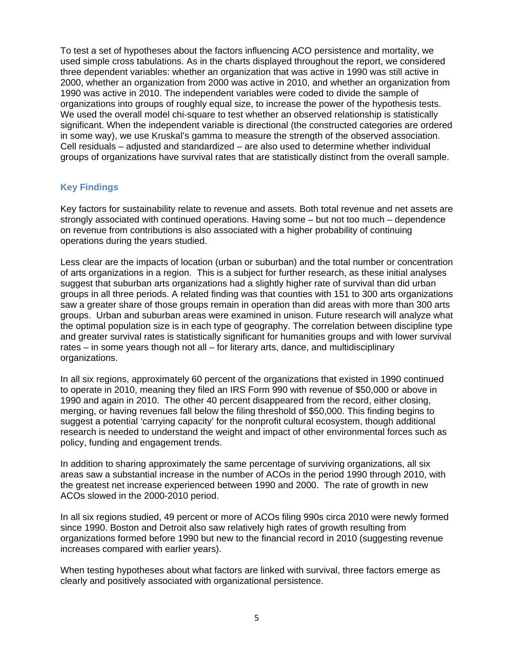<span id="page-7-0"></span>To test a set of hypotheses about the factors influencing ACO persistence and mortality, we used simple cross tabulations. As in the charts displayed throughout the report, we considered three dependent variables: whether an organization that was active in 1990 was still active in 2000, whether an organization from 2000 was active in 2010, and whether an organization from 1990 was active in 2010. The independent variables were coded to divide the sample of organizations into groups of roughly equal size, to increase the power of the hypothesis tests. We used the overall model chi-square to test whether an observed relationship is statistically significant. When the independent variable is directional (the constructed categories are ordered in some way), we use Kruskal's gamma to measure the strength of the observed association. Cell residuals – adjusted and standardized – are also used to determine whether individual groups of organizations have survival rates that are statistically distinct from the overall sample.

## **Key Findings**

Key factors for sustainability relate to revenue and assets. Both total revenue and net assets are strongly associated with continued operations. Having some – but not too much – dependence on revenue from contributions is also associated with a higher probability of continuing operations during the years studied.

Less clear are the impacts of location (urban or suburban) and the total number or concentration of arts organizations in a region. This is a subject for further research, as these initial analyses suggest that suburban arts organizations had a slightly higher rate of survival than did urban groups in all three periods. A related finding was that counties with 151 to 300 arts organizations saw a greater share of those groups remain in operation than did areas with more than 300 arts groups. Urban and suburban areas were examined in unison. Future research will analyze what the optimal population size is in each type of geography. The correlation between discipline type and greater survival rates is statistically significant for humanities groups and with lower survival rates – in some years though not all – for literary arts, dance, and multidisciplinary organizations.

In all six regions, approximately 60 percent of the organizations that existed in 1990 continued to operate in 2010, meaning they filed an IRS Form 990 with revenue of \$50,000 or above in 1990 and again in 2010. The other 40 percent disappeared from the record, either closing, merging, or having revenues fall below the filing threshold of \$50,000. This finding begins to suggest a potential 'carrying capacity' for the nonprofit cultural ecosystem, though additional research is needed to understand the weight and impact of other environmental forces such as policy, funding and engagement trends.

In addition to sharing approximately the same percentage of surviving organizations, all six areas saw a substantial increase in the number of ACOs in the period 1990 through 2010, with the greatest net increase experienced between 1990 and 2000. The rate of growth in new ACOs slowed in the 2000-2010 period.

In all six regions studied, 49 percent or more of ACOs filing 990s circa 2010 were newly formed since 1990. Boston and Detroit also saw relatively high rates of growth resulting from organizations formed before 1990 but new to the financial record in 2010 (suggesting revenue increases compared with earlier years).

When testing hypotheses about what factors are linked with survival, three factors emerge as clearly and positively associated with organizational persistence.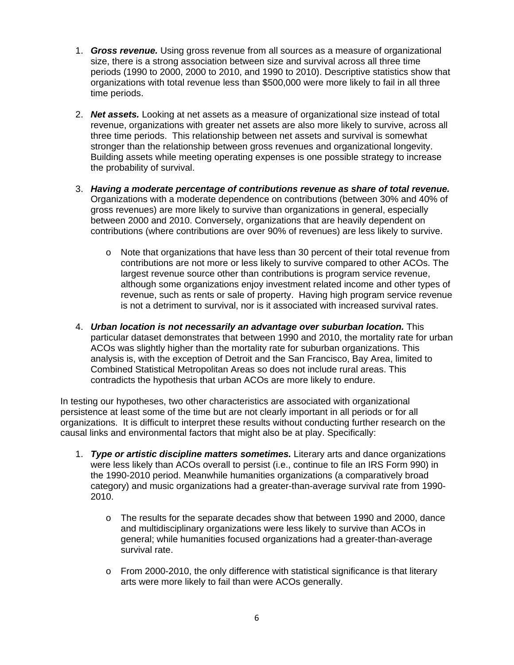- 1. *Gross revenue.* Using gross revenue from all sources as a measure of organizational size, there is a strong association between size and survival across all three time periods (1990 to 2000, 2000 to 2010, and 1990 to 2010). Descriptive statistics show that organizations with total revenue less than \$500,000 were more likely to fail in all three time periods.
- 2. *Net assets.* Looking at net assets as a measure of organizational size instead of total revenue, organizations with greater net assets are also more likely to survive, across all three time periods. This relationship between net assets and survival is somewhat stronger than the relationship between gross revenues and organizational longevity. Building assets while meeting operating expenses is one possible strategy to increase the probability of survival.
- 3. *Having a moderate percentage of contributions revenue as share of total revenue.* Organizations with a moderate dependence on contributions (between 30% and 40% of gross revenues) are more likely to survive than organizations in general, especially between 2000 and 2010. Conversely, organizations that are heavily dependent on contributions (where contributions are over 90% of revenues) are less likely to survive.
	- $\circ$  Note that organizations that have less than 30 percent of their total revenue from contributions are not more or less likely to survive compared to other ACOs. The largest revenue source other than contributions is program service revenue, although some organizations enjoy investment related income and other types of revenue, such as rents or sale of property. Having high program service revenue is not a detriment to survival, nor is it associated with increased survival rates.
- 4. *Urban location is not necessarily an advantage over suburban location.* This particular dataset demonstrates that between 1990 and 2010, the mortality rate for urban ACOs was slightly higher than the mortality rate for suburban organizations. This analysis is, with the exception of Detroit and the San Francisco, Bay Area, limited to Combined Statistical Metropolitan Areas so does not include rural areas. This contradicts the hypothesis that urban ACOs are more likely to endure.

In testing our hypotheses, two other characteristics are associated with organizational persistence at least some of the time but are not clearly important in all periods or for all organizations. It is difficult to interpret these results without conducting further research on the causal links and environmental factors that might also be at play. Specifically:

- 1. *Type or artistic discipline matters sometimes.* Literary arts and dance organizations were less likely than ACOs overall to persist (i.e., continue to file an IRS Form 990) in the 1990-2010 period. Meanwhile humanities organizations (a comparatively broad category) and music organizations had a greater-than-average survival rate from 1990- 2010.
	- o The results for the separate decades show that between 1990 and 2000, dance and multidisciplinary organizations were less likely to survive than ACOs in general; while humanities focused organizations had a greater-than-average survival rate.
	- $\circ$  From 2000-2010, the only difference with statistical significance is that literary arts were more likely to fail than were ACOs generally.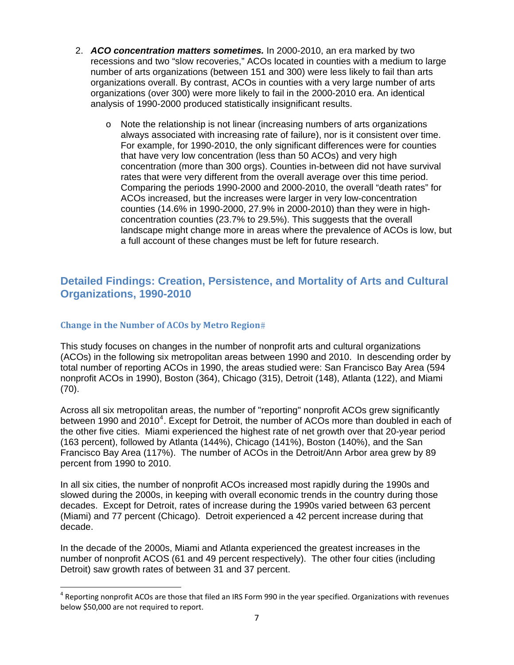- <span id="page-9-0"></span>2. *ACO concentration matters sometimes.* In 2000-2010, an era marked by two recessions and two "slow recoveries," ACOs located in counties with a medium to large number of arts organizations (between 151 and 300) were less likely to fail than arts organizations overall. By contrast, ACOs in counties with a very large number of arts organizations (over 300) were more likely to fail in the 2000-2010 era. An identical analysis of 1990-2000 produced statistically insignificant results.
	- $\circ$  Note the relationship is not linear (increasing numbers of arts organizations always associated with increasing rate of failure), nor is it consistent over time. For example, for 1990-2010, the only significant differences were for counties that have very low concentration (less than 50 ACOs) and very high concentration (more than 300 orgs). Counties in-between did not have survival rates that were very different from the overall average over this time period. Comparing the periods 1990-2000 and 2000-2010, the overall "death rates" for ACOs increased, but the increases were larger in very low-concentration counties (14.6% in 1990-2000, 27.9% in 2000-2010) than they were in highconcentration counties (23.7% to 29.5%). This suggests that the overall landscape might change more in areas where the prevalence of ACOs is low, but a full account of these changes must be left for future research.

## **Detailed Findings: Creation, Persistence, and Mortality of Arts and Cultural Organizations, 1990-2010**

## **Change in the Number of ACOs by Metro Region**

This study focuses on changes in the number of nonprofit arts and cultural organizations (ACOs) in the following six metropolitan areas between 1990 and 2010. In descending order by total number of reporting ACOs in 1990, the areas studied were: San Francisco Bay Area (594 nonprofit ACOs in 1990), Boston (364), Chicago (315), Detroit (148), Atlanta (122), and Miami (70).

Across all six metropolitan areas, the number of "reporting" nonprofit ACOs grew significantly between 1990 and 2010<sup>[4](#page-9-1)</sup>. Except for Detroit, the number of ACOs more than doubled in each of the other five cities. Miami experienced the highest rate of net growth over that 20-year period (163 percent), followed by Atlanta (144%), Chicago (141%), Boston (140%), and the San Francisco Bay Area (117%). The number of ACOs in the Detroit/Ann Arbor area grew by 89 percent from 1990 to 2010.

In all six cities, the number of nonprofit ACOs increased most rapidly during the 1990s and slowed during the 2000s, in keeping with overall economic trends in the country during those decades. Except for Detroit, rates of increase during the 1990s varied between 63 percent (Miami) and 77 percent (Chicago). Detroit experienced a 42 percent increase during that decade.

In the decade of the 2000s, Miami and Atlanta experienced the greatest increases in the number of nonprofit ACOS (61 and 49 percent respectively). The other four cities (including Detroit) saw growth rates of between 31 and 37 percent.

<span id="page-9-1"></span> $4$  Reporting nonprofit ACOs are those that filed an IRS Form 990 in the year specified. Organizations with revenues below \$50,000 are not required to report.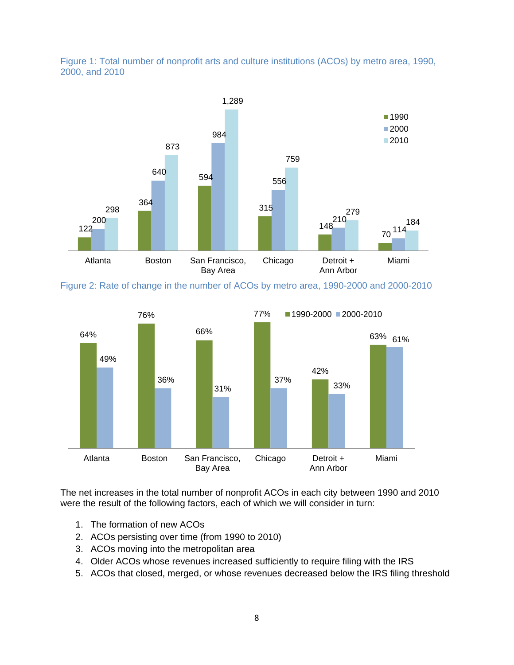Figure 1: Total number of nonprofit arts and culture institutions (ACOs) by metro area, 1990, 2000, and 2010



Figure 2: Rate of change in the number of ACOs by metro area, 1990-2000 and 2000-2010



The net increases in the total number of nonprofit ACOs in each city between 1990 and 2010 were the result of the following factors, each of which we will consider in turn:

- 1. The formation of new ACOs
- 2. ACOs persisting over time (from 1990 to 2010)
- 3. ACOs moving into the metropolitan area
- 4. Older ACOs whose revenues increased sufficiently to require filing with the IRS
- 5. ACOs that closed, merged, or whose revenues decreased below the IRS filing threshold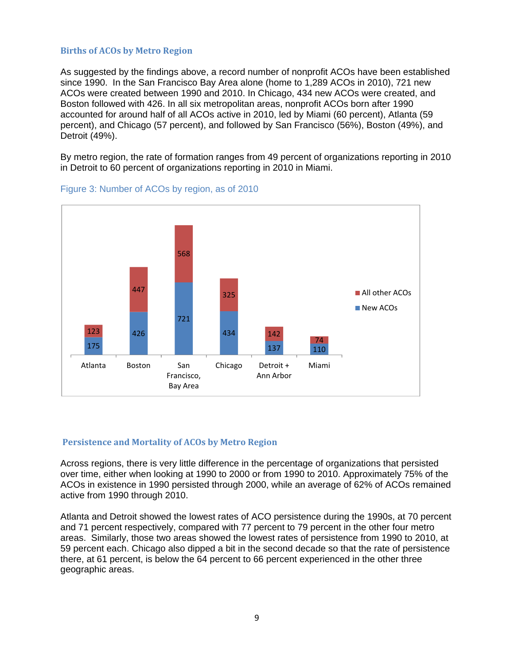## <span id="page-11-0"></span>**Births of ACOs by Metro Region**

As suggested by the findings above, a record number of nonprofit ACOs have been established since 1990. In the San Francisco Bay Area alone (home to 1,289 ACOs in 2010), 721 new ACOs were created between 1990 and 2010. In Chicago, 434 new ACOs were created, and Boston followed with 426. In all six metropolitan areas, nonprofit ACOs born after 1990 accounted for around half of all ACOs active in 2010, led by Miami (60 percent), Atlanta (59 percent), and Chicago (57 percent), and followed by San Francisco (56%), Boston (49%), and Detroit (49%).

By metro region, the rate of formation ranges from 49 percent of organizations reporting in 2010 in Detroit to 60 percent of organizations reporting in 2010 in Miami.



#### Figure 3: Number of ACOs by region, as of 2010

#### **Persistence and Mortality of ACOs by Metro Region**

Across regions, there is very little difference in the percentage of organizations that persisted over time, either when looking at 1990 to 2000 or from 1990 to 2010. Approximately 75% of the ACOs in existence in 1990 persisted through 2000, while an average of 62% of ACOs remained active from 1990 through 2010.

Atlanta and Detroit showed the lowest rates of ACO persistence during the 1990s, at 70 percent and 71 percent respectively, compared with 77 percent to 79 percent in the other four metro areas. Similarly, those two areas showed the lowest rates of persistence from 1990 to 2010, at 59 percent each. Chicago also dipped a bit in the second decade so that the rate of persistence there, at 61 percent, is below the 64 percent to 66 percent experienced in the other three geographic areas.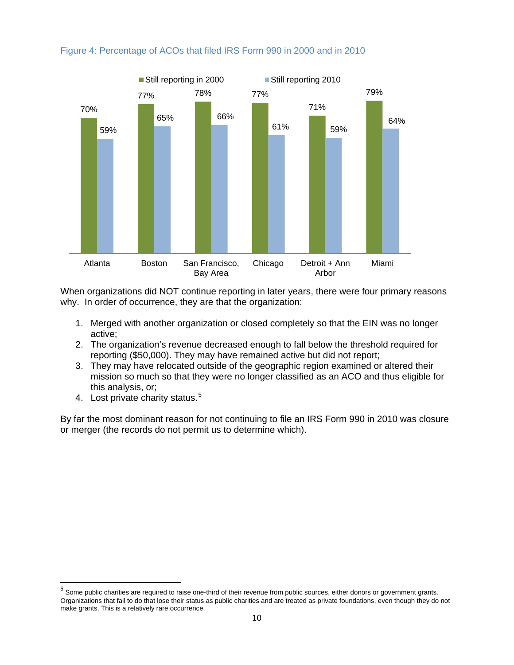

## Figure 4: Percentage of ACOs that filed IRS Form 990 in 2000 and in 2010

When organizations did NOT continue reporting in later years, there were four primary reasons why. In order of occurrence, they are that the organization:

- 1. Merged with another organization or closed completely so that the EIN was no longer active;
- 2. The organization's revenue decreased enough to fall below the threshold required for reporting (\$50,000). They may have remained active but did not report;
- 3. They may have relocated outside of the geographic region examined or altered their mission so much so that they were no longer classified as an ACO and thus eligible for this analysis, or;
- 4. Lost private charity status.<sup>[5](#page-12-0)</sup>

By far the most dominant reason for not continuing to file an IRS Form 990 in 2010 was closure or merger (the records do not permit us to determine which).

<span id="page-12-0"></span><sup>&</sup>lt;u>s</u><br><sup>5</sup> Some public charities are required to raise one-third of their revenue from public sources, either donors or government grants. Organizations that fail to do that lose their status as public charities and are treated as private foundations, even though they do not make grants. This is a relatively rare occurrence.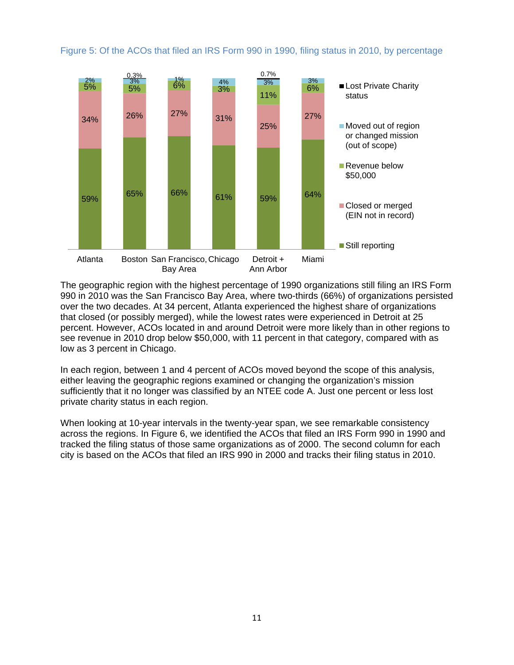

Figure 5: Of the ACOs that filed an IRS Form 990 in 1990, filing status in 2010, by percentage

The geographic region with the highest percentage of 1990 organizations still filing an IRS Form 990 in 2010 was the San Francisco Bay Area, where two-thirds (66%) of organizations persisted over the two decades. At 34 percent, Atlanta experienced the highest share of organizations that closed (or possibly merged), while the lowest rates were experienced in Detroit at 25 percent. However, ACOs located in and around Detroit were more likely than in other regions to see revenue in 2010 drop below \$50,000, with 11 percent in that category, compared with as low as 3 percent in Chicago.

In each region, between 1 and 4 percent of ACOs moved beyond the scope of this analysis, either leaving the geographic regions examined or changing the organization's mission sufficiently that it no longer was classified by an NTEE code A. Just one percent or less lost private charity status in each region.

When looking at 10-year intervals in the twenty-year span, we see remarkable consistency across the regions. In Figure 6, we identified the ACOs that filed an IRS Form 990 in 1990 and tracked the filing status of those same organizations as of 2000. The second column for each city is based on the ACOs that filed an IRS 990 in 2000 and tracks their filing status in 2010.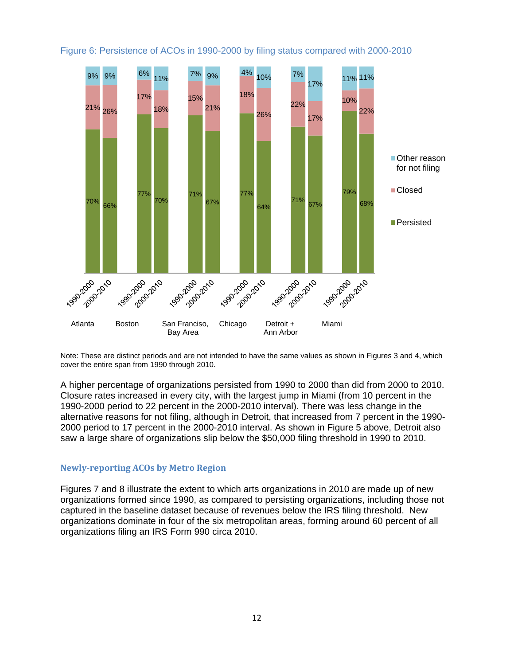

## <span id="page-14-0"></span>Figure 6: Persistence of ACOs in 1990-2000 by filing status compared with 2000-2010

Note: These are distinct periods and are not intended to have the same values as shown in Figures 3 and 4, which cover the entire span from 1990 through 2010.

A higher percentage of organizations persisted from 1990 to 2000 than did from 2000 to 2010. Closure rates increased in every city, with the largest jump in Miami (from 10 percent in the 1990-2000 period to 22 percent in the 2000-2010 interval). There was less change in the alternative reasons for not filing, although in Detroit, that increased from 7 percent in the 1990- 2000 period to 17 percent in the 2000-2010 interval. As shown in Figure 5 above, Detroit also saw a large share of organizations slip below the \$50,000 filing threshold in 1990 to 2010.

## **Newly‐reporting ACOs by Metro Region**

Figures 7 and 8 illustrate the extent to which arts organizations in 2010 are made up of new organizations formed since 1990, as compared to persisting organizations, including those not captured in the baseline dataset because of revenues below the IRS filing threshold. New organizations dominate in four of the six metropolitan areas, forming around 60 percent of all organizations filing an IRS Form 990 circa 2010.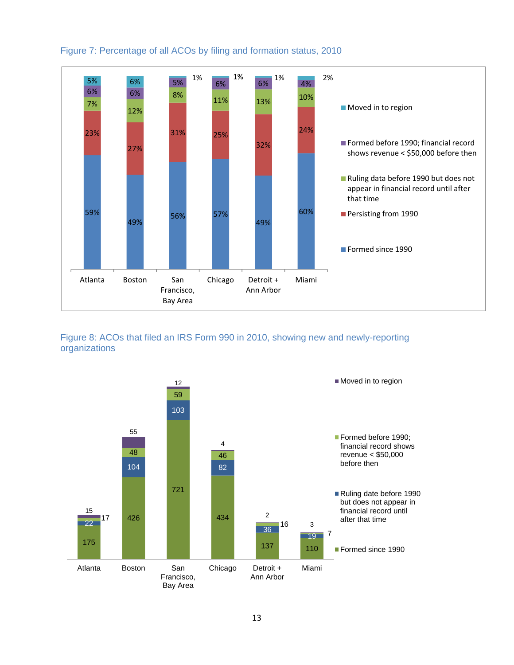

## Figure 7: Percentage of all ACOs by filing and formation status, 2010



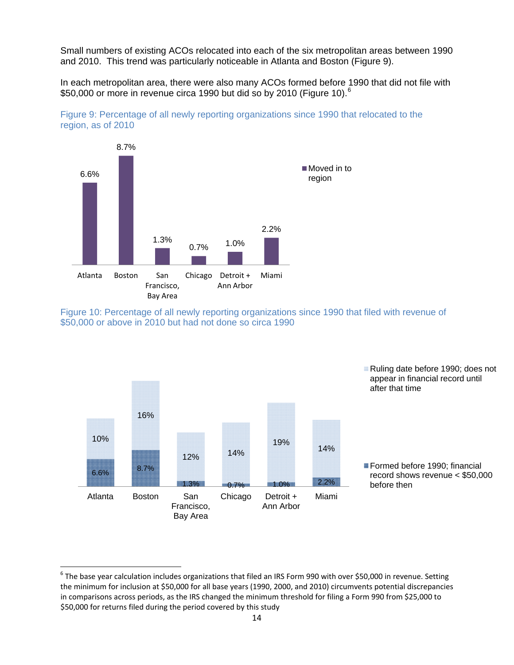Small numbers of existing ACOs relocated into each of the six metropolitan areas between 1990 and 2010. This trend was particularly noticeable in Atlanta and Boston (Figure 9).

In each metropolitan area, there were also many ACOs formed before 1990 that did not file with \$50,000 or more in revenue circa 1990 but did so by 2010 (Figure 10).<sup>[6](#page-16-0)</sup>



Figure 9: Percentage of all newly reporting organizations since 1990 that relocated to the region, as of 2010

Figure 10: Percentage of all newly reporting organizations since 1990 that filed with revenue of \$50,000 or above in 2010 but had not done so circa 1990



<span id="page-16-0"></span> $6$  The base year calculation includes organizations that filed an IRS Form 990 with over \$50,000 in revenue. Setting the minimum for inclusion at \$50,000 for all base years (1990, 2000, and 2010) circumvents potential discrepancies in comparisons across periods, as the IRS changed the minimum threshold for filing a Form 990 from \$25,000 to \$50,000 for returns filed during the period covered by this study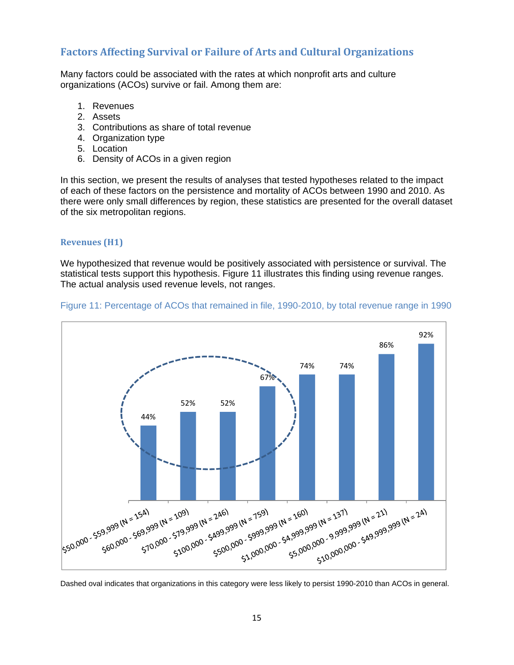## <span id="page-17-0"></span>**Factors Affecting Survival or Failure of Arts and Cultural Organizations**

Many factors could be associated with the rates at which nonprofit arts and culture organizations (ACOs) survive or fail. Among them are:

- 1. Revenues
- 2. Assets
- 3. Contributions as share of total revenue
- 4. Organization type
- 5. Location
- 6. Density of ACOs in a given region

In this section, we present the results of analyses that tested hypotheses related to the impact of each of these factors on the persistence and mortality of ACOs between 1990 and 2010. As there were only small differences by region, these statistics are presented for the overall dataset of the six metropolitan regions.

#### **Revenues (H1)**

We hypothesized that revenue would be positively associated with persistence or survival. The statistical tests support this hypothesis. Figure 11 illustrates this finding using revenue ranges. The actual analysis used revenue levels, not ranges.



#### Figure 11: Percentage of ACOs that remained in file, 1990-2010, by total revenue range in 1990

Dashed oval indicates that organizations in this category were less likely to persist 1990-2010 than ACOs in general.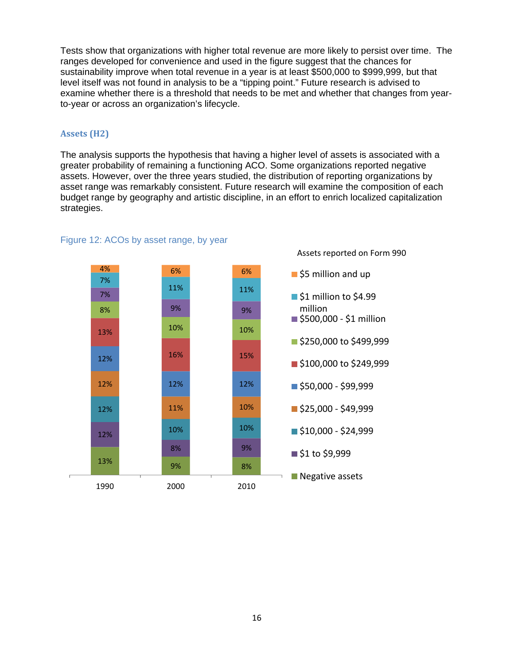<span id="page-18-0"></span>Tests show that organizations with higher total revenue are more likely to persist over time. The ranges developed for convenience and used in the figure suggest that the chances for sustainability improve when total revenue in a year is at least \$500,000 to \$999,999, but that level itself was not found in analysis to be a "tipping point." Future research is advised to examine whether there is a threshold that needs to be met and whether that changes from yearto-year or across an organization's lifecycle.

#### **Assets (H2)**

The analysis supports the hypothesis that having a higher level of assets is associated with a greater probability of remaining a functioning ACO. Some organizations reported negative assets. However, over the three years studied, the distribution of reporting organizations by asset range was remarkably consistent. Future research will examine the composition of each budget range by geography and artistic discipline, in an effort to enrich localized capitalization strategies.



#### Figure 12: ACOs by asset range, by year

Assets reported on Form 990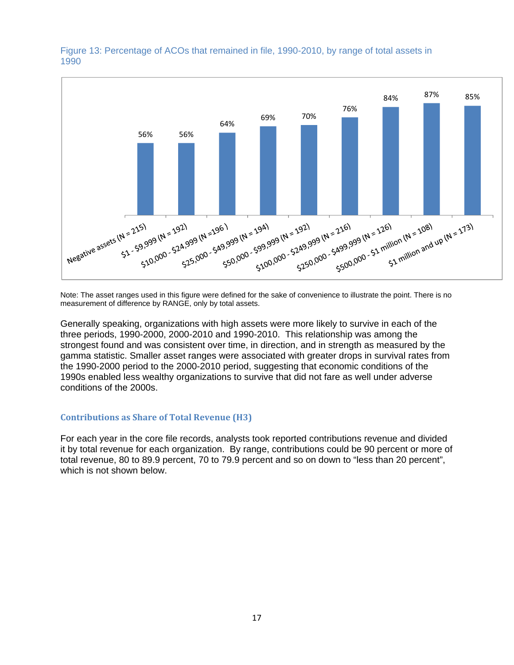

<span id="page-19-0"></span>Figure 13: Percentage of ACOs that remained in file, 1990-2010, by range of total assets in 1990

Note: The asset ranges used in this figure were defined for the sake of convenience to illustrate the point. There is no measurement of difference by RANGE, only by total assets.

Generally speaking, organizations with high assets were more likely to survive in each of the three periods, 1990-2000, 2000-2010 and 1990-2010. This relationship was among the strongest found and was consistent over time, in direction, and in strength as measured by the gamma statistic. Smaller asset ranges were associated with greater drops in survival rates from the 1990-2000 period to the 2000-2010 period, suggesting that economic conditions of the 1990s enabled less wealthy organizations to survive that did not fare as well under adverse conditions of the 2000s.

#### **Contributions as Share of Total Revenue (H3)**

For each year in the core file records, analysts took reported contributions revenue and divided it by total revenue for each organization. By range, contributions could be 90 percent or more of total revenue, 80 to 89.9 percent, 70 to 79.9 percent and so on down to "less than 20 percent", which is not shown below.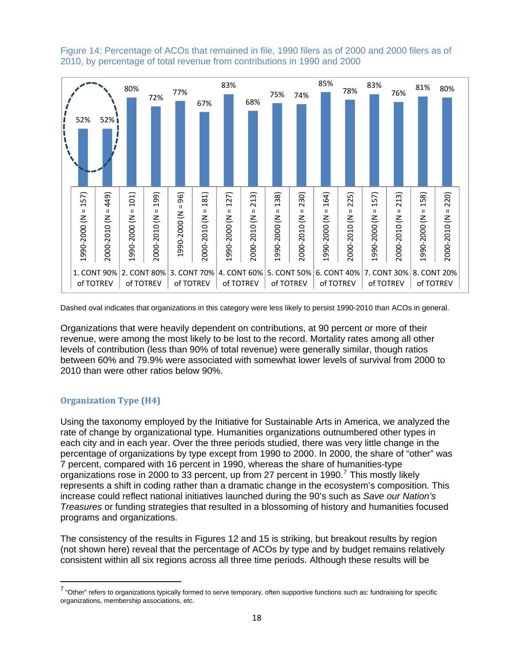<span id="page-20-0"></span>



Dashed oval indicates that organizations in this category were less likely to persist 1990-2010 than ACOs in general.

Organizations that were heavily dependent on contributions, at 90 percent or more of their revenue, were among the most likely to be lost to the record. Mortality rates among all other levels of contribution (less than 90% of total revenue) were generally similar, though ratios between 60% and 79.9% were associated with somewhat lower levels of survival from 2000 to 2010 than were other ratios below 90%.

#### **Organization Type (H4)**

Using the taxonomy employed by the Initiative for Sustainable Arts in America, we analyzed the rate of change by organizational type. Humanities organizations outnumbered other types in each city and in each year. Over the three periods studied, there was very little change in the percentage of organizations by type except from 1990 to 2000. In 2000, the share of "other" was 7 percent, compared with 16 percent in 1990, whereas the share of humanities-type organizations rose in 2000 to 33 percent, up from 2[7](#page-20-1) percent in 1990.<sup>7</sup> This mostly likely represents a shift in coding rather than a dramatic change in the ecosystem's composition. This increase could reflect national initiatives launched during the 90's such as *Save our Nation's Treasures* or funding strategies that resulted in a blossoming of history and humanities focused programs and organizations.

The consistency of the results in Figures 12 and 15 is striking, but breakout results by region (not shown here) reveal that the percentage of ACOs by type and by budget remains relatively consistent within all six regions across all three time periods. Although these results will be

<span id="page-20-1"></span> $^7$  "Other" refers to organizations typically formed to serve temporary, often supportive functions such as: fundraising for specific organizations, membership associations, etc.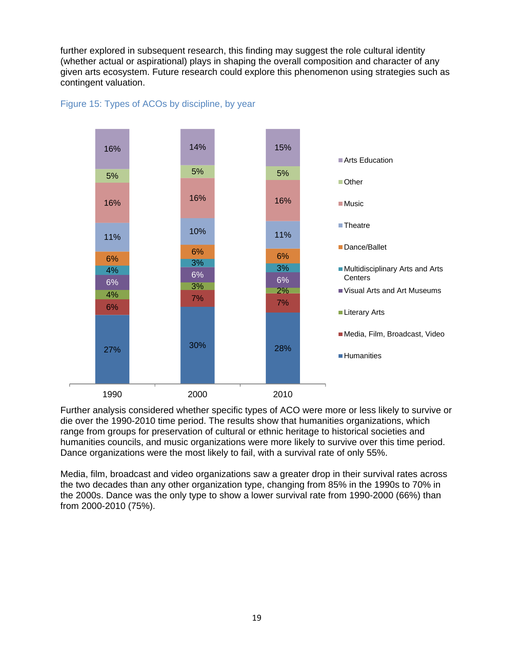further explored in subsequent research, this finding may suggest the role cultural identity (whether actual or aspirational) plays in shaping the overall composition and character of any given arts ecosystem. Future research could explore this phenomenon using strategies such as contingent valuation.



### Figure 15: Types of ACOs by discipline, by year

Further analysis considered whether specific types of ACO were more or less likely to survive or die over the 1990-2010 time period. The results show that humanities organizations, which range from groups for preservation of cultural or ethnic heritage to historical societies and humanities councils, and music organizations were more likely to survive over this time period. Dance organizations were the most likely to fail, with a survival rate of only 55%.

Media, film, broadcast and video organizations saw a greater drop in their survival rates across the two decades than any other organization type, changing from 85% in the 1990s to 70% in the 2000s. Dance was the only type to show a lower survival rate from 1990-2000 (66%) than from 2000-2010 (75%).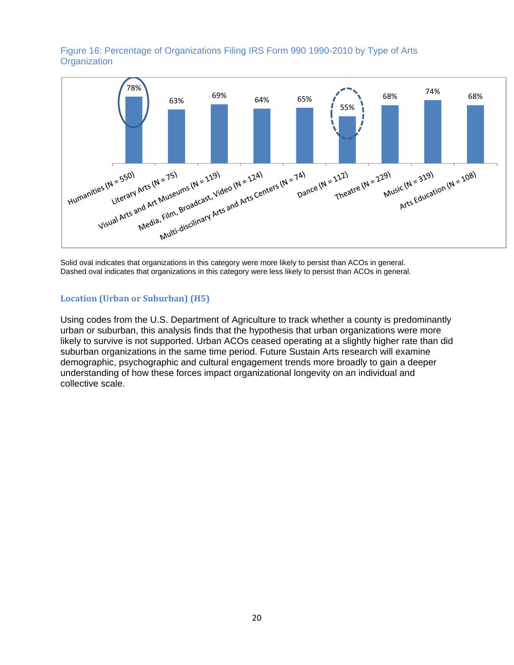## <span id="page-22-0"></span>Figure 16: Percentage of Organizations Filing IRS Form 990 1990-2010 by Type of Arts **Organization**



Solid oval indicates that organizations in this category were more likely to persist than ACOs in general. Dashed oval indicates that organizations in this category were less likely to persist than ACOs in general.

## **Location (Urban or Suburban) (H5)**

Using codes from the U.S. Department of Agriculture to track whether a county is predominantly urban or suburban, this analysis finds that the hypothesis that urban organizations were more likely to survive is not supported. Urban ACOs ceased operating at a slightly higher rate than did suburban organizations in the same time period. Future Sustain Arts research will examine demographic, psychographic and cultural engagement trends more broadly to gain a deeper understanding of how these forces impact organizational longevity on an individual and collective scale.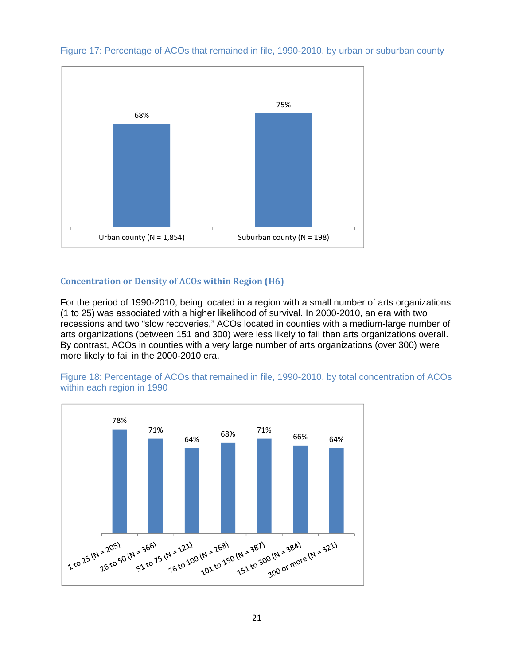

<span id="page-23-0"></span>Figure 17: Percentage of ACOs that remained in file, 1990-2010, by urban or suburban county

## **Concentration or Density of ACOs within Region (H6)**

For the period of 1990-2010, being located in a region with a small number of arts organizations (1 to 25) was associated with a higher likelihood of survival. In 2000-2010, an era with two recessions and two "slow recoveries," ACOs located in counties with a medium-large number of arts organizations (between 151 and 300) were less likely to fail than arts organizations overall. By contrast, ACOs in counties with a very large number of arts organizations (over 300) were more likely to fail in the 2000-2010 era.



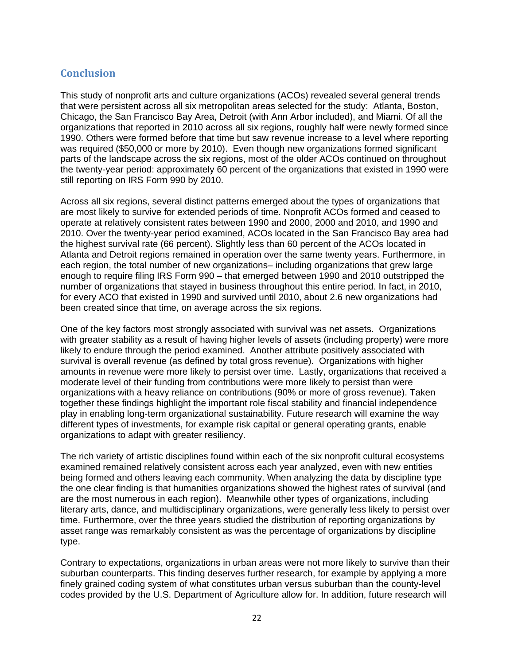## <span id="page-24-0"></span>**Conclusion**

This study of nonprofit arts and culture organizations (ACOs) revealed several general trends that were persistent across all six metropolitan areas selected for the study: Atlanta, Boston, Chicago, the San Francisco Bay Area, Detroit (with Ann Arbor included), and Miami. Of all the organizations that reported in 2010 across all six regions, roughly half were newly formed since 1990. Others were formed before that time but saw revenue increase to a level where reporting was required (\$50,000 or more by 2010). Even though new organizations formed significant parts of the landscape across the six regions, most of the older ACOs continued on throughout the twenty-year period: approximately 60 percent of the organizations that existed in 1990 were still reporting on IRS Form 990 by 2010.

Across all six regions, several distinct patterns emerged about the types of organizations that are most likely to survive for extended periods of time. Nonprofit ACOs formed and ceased to operate at relatively consistent rates between 1990 and 2000, 2000 and 2010, and 1990 and 2010. Over the twenty-year period examined, ACOs located in the San Francisco Bay area had the highest survival rate (66 percent). Slightly less than 60 percent of the ACOs located in Atlanta and Detroit regions remained in operation over the same twenty years. Furthermore, in each region, the total number of new organizations– including organizations that grew large enough to require filing IRS Form 990 – that emerged between 1990 and 2010 outstripped the number of organizations that stayed in business throughout this entire period. In fact, in 2010, for every ACO that existed in 1990 and survived until 2010, about 2.6 new organizations had been created since that time, on average across the six regions.

One of the key factors most strongly associated with survival was net assets. Organizations with greater stability as a result of having higher levels of assets (including property) were more likely to endure through the period examined. Another attribute positively associated with survival is overall revenue (as defined by total gross revenue). Organizations with higher amounts in revenue were more likely to persist over time. Lastly, organizations that received a moderate level of their funding from contributions were more likely to persist than were organizations with a heavy reliance on contributions (90% or more of gross revenue). Taken together these findings highlight the important role fiscal stability and financial independence play in enabling long-term organizational sustainability. Future research will examine the way different types of investments, for example risk capital or general operating grants, enable organizations to adapt with greater resiliency.

The rich variety of artistic disciplines found within each of the six nonprofit cultural ecosystems examined remained relatively consistent across each year analyzed, even with new entities being formed and others leaving each community. When analyzing the data by discipline type the one clear finding is that humanities organizations showed the highest rates of survival (and are the most numerous in each region). Meanwhile other types of organizations, including literary arts, dance, and multidisciplinary organizations, were generally less likely to persist over time. Furthermore, over the three years studied the distribution of reporting organizations by asset range was remarkably consistent as was the percentage of organizations by discipline type.

Contrary to expectations, organizations in urban areas were not more likely to survive than their suburban counterparts. This finding deserves further research, for example by applying a more finely grained coding system of what constitutes urban versus suburban than the county-level codes provided by the U.S. Department of Agriculture allow for. In addition, future research will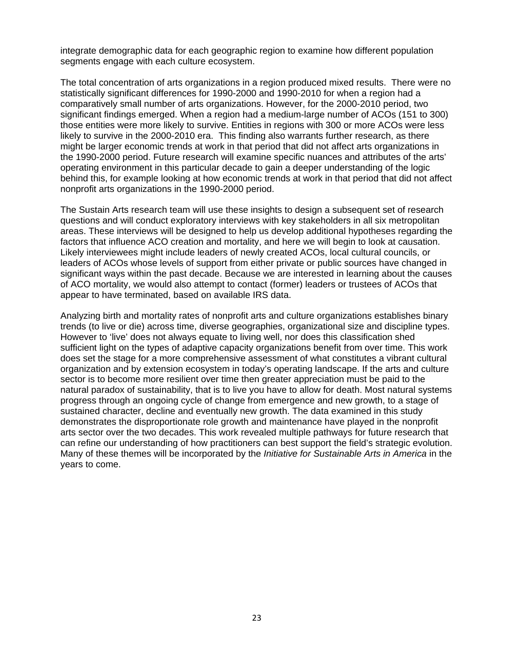integrate demographic data for each geographic region to examine how different population segments engage with each culture ecosystem.

The total concentration of arts organizations in a region produced mixed results. There were no statistically significant differences for 1990-2000 and 1990-2010 for when a region had a comparatively small number of arts organizations. However, for the 2000-2010 period, two significant findings emerged. When a region had a medium-large number of ACOs (151 to 300) those entities were more likely to survive. Entities in regions with 300 or more ACOs were less likely to survive in the 2000-2010 era. This finding also warrants further research, as there might be larger economic trends at work in that period that did not affect arts organizations in the 1990-2000 period. Future research will examine specific nuances and attributes of the arts' operating environment in this particular decade to gain a deeper understanding of the logic behind this, for example looking at how economic trends at work in that period that did not affect nonprofit arts organizations in the 1990-2000 period.

The Sustain Arts research team will use these insights to design a subsequent set of research questions and will conduct exploratory interviews with key stakeholders in all six metropolitan areas. These interviews will be designed to help us develop additional hypotheses regarding the factors that influence ACO creation and mortality, and here we will begin to look at causation. Likely interviewees might include leaders of newly created ACOs, local cultural councils, or leaders of ACOs whose levels of support from either private or public sources have changed in significant ways within the past decade. Because we are interested in learning about the causes of ACO mortality, we would also attempt to contact (former) leaders or trustees of ACOs that appear to have terminated, based on available IRS data.

Analyzing birth and mortality rates of nonprofit arts and culture organizations establishes binary trends (to live or die) across time, diverse geographies, organizational size and discipline types. However to 'live' does not always equate to living well, nor does this classification shed sufficient light on the types of adaptive capacity organizations benefit from over time. This work does set the stage for a more comprehensive assessment of what constitutes a vibrant cultural organization and by extension ecosystem in today's operating landscape. If the arts and culture sector is to become more resilient over time then greater appreciation must be paid to the natural paradox of sustainability, that is to live you have to allow for death. Most natural systems progress through an ongoing cycle of change from emergence and new growth, to a stage of sustained character, decline and eventually new growth. The data examined in this study demonstrates the disproportionate role growth and maintenance have played in the nonprofit arts sector over the two decades. This work revealed multiple pathways for future research that can refine our understanding of how practitioners can best support the field's strategic evolution. Many of these themes will be incorporated by the *Initiative for Sustainable Arts in America* in the years to come.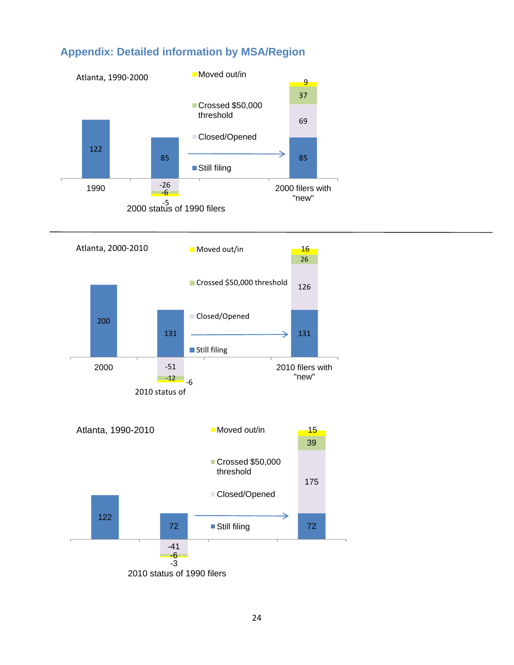



## <span id="page-26-0"></span>**Appendix: Detailed information by MSA/Region**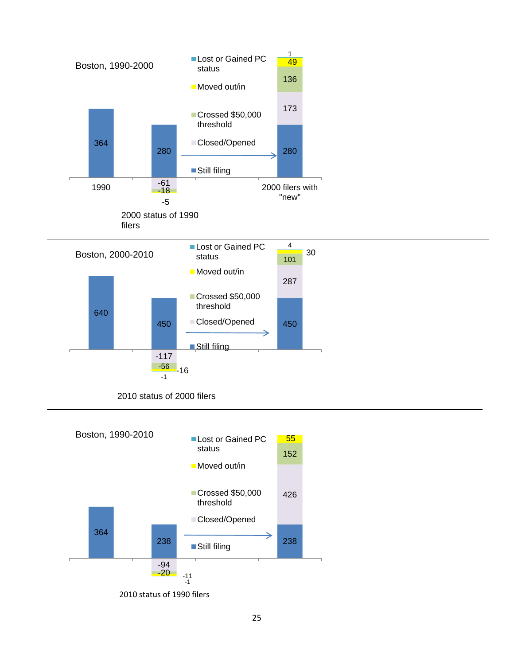



2010 status of 1990 filers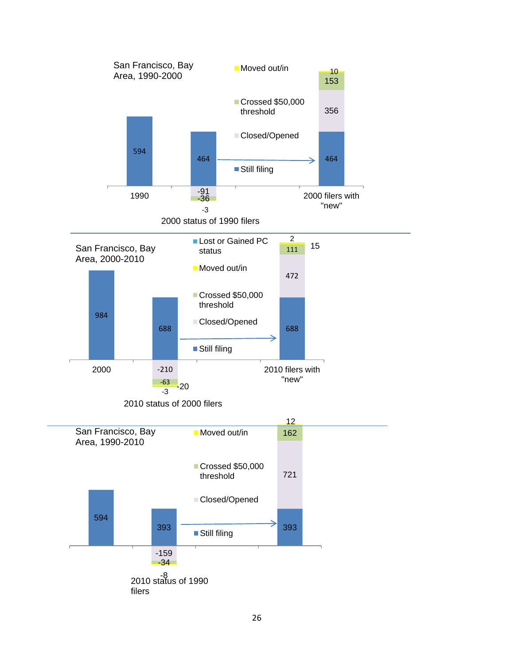![](_page_28_Figure_0.jpeg)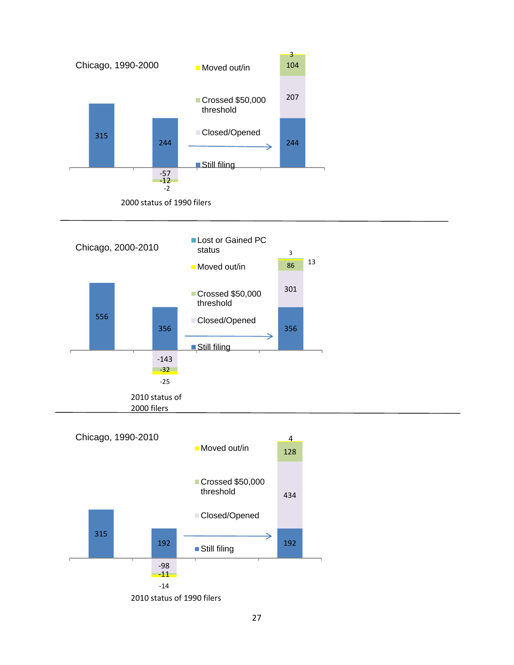![](_page_29_Figure_0.jpeg)

2000 status of 1990 filers

![](_page_29_Figure_2.jpeg)

![](_page_29_Figure_3.jpeg)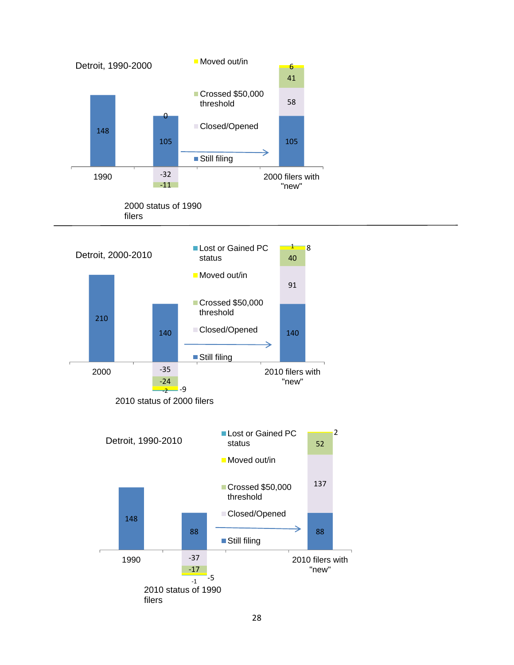![](_page_30_Figure_0.jpeg)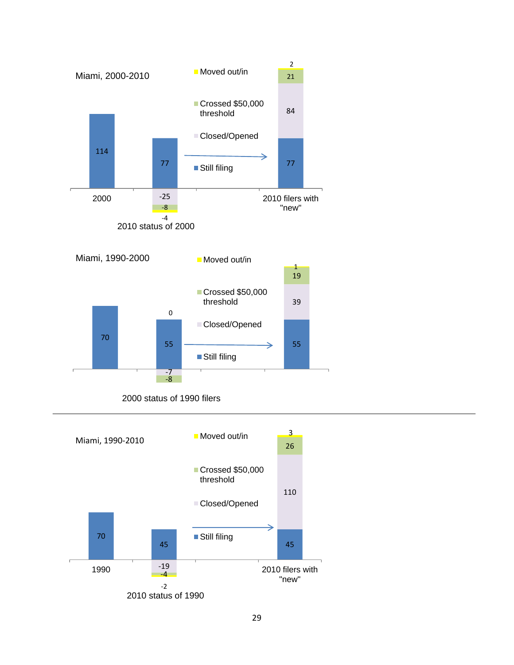![](_page_31_Figure_0.jpeg)

![](_page_31_Figure_1.jpeg)

![](_page_31_Figure_2.jpeg)